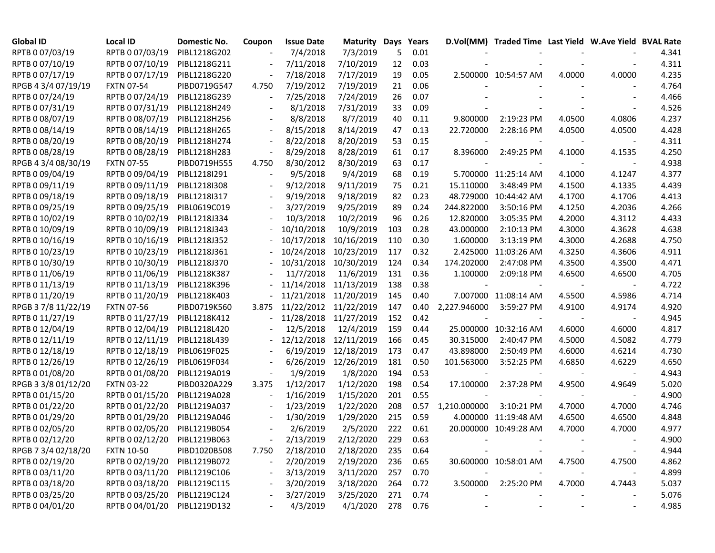| <b>Global ID</b>    | Local ID                     | Domestic No. | Coupon | <b>Issue Date</b> | Maturity   | Days | Years    |              | D.Vol(MM) Traded Time Last Yield W.Ave Yield BVAL Rate |                          |        |       |
|---------------------|------------------------------|--------------|--------|-------------------|------------|------|----------|--------------|--------------------------------------------------------|--------------------------|--------|-------|
| RPTB 0 07/03/19     | RPTB 0 07/03/19              | PIBL1218G202 |        | 7/4/2018          | 7/3/2019   | 5    | 0.01     |              |                                                        |                          |        | 4.341 |
| RPTB 0 07/10/19     | RPTB 0 07/10/19              | PIBL1218G211 |        | 7/11/2018         | 7/10/2019  | 12   | 0.03     |              |                                                        |                          |        | 4.311 |
| RPTB 0 07/17/19     | RPTB 0 07/17/19              | PIBL1218G220 |        | 7/18/2018         | 7/17/2019  | 19   | 0.05     |              | 2.500000 10:54:57 AM                                   | 4.0000                   | 4.0000 | 4.235 |
| RPGB 4 3/4 07/19/19 | <b>FXTN 07-54</b>            | PIBD0719G547 | 4.750  | 7/19/2012         | 7/19/2019  | 21   | 0.06     |              |                                                        |                          |        | 4.764 |
| RPTB 0 07/24/19     | RPTB 0 07/24/19              | PIBL1218G239 |        | 7/25/2018         | 7/24/2019  | 26   | 0.07     |              |                                                        |                          |        | 4.466 |
| RPTB 0 07/31/19     | RPTB 0 07/31/19              | PIBL1218H249 |        | 8/1/2018          | 7/31/2019  | 33   | 0.09     |              |                                                        |                          |        | 4.526 |
| RPTB 0 08/07/19     | RPTB 0 08/07/19              | PIBL1218H256 |        | 8/8/2018          | 8/7/2019   | 40   | 0.11     | 9.800000     | 2:19:23 PM                                             | 4.0500                   | 4.0806 | 4.237 |
| RPTB 0 08/14/19     | RPTB 0 08/14/19              | PIBL1218H265 |        | 8/15/2018         | 8/14/2019  | 47   | 0.13     | 22.720000    | 2:28:16 PM                                             | 4.0500                   | 4.0500 | 4.428 |
| RPTB 0 08/20/19     | RPTB 0 08/20/19              | PIBL1218H274 |        | 8/22/2018         | 8/20/2019  | 53   | 0.15     |              |                                                        |                          |        | 4.311 |
| RPTB 0 08/28/19     | RPTB 0 08/28/19              | PIBL1218H283 |        | 8/29/2018         | 8/28/2019  | 61   | 0.17     | 8.396000     | 2:49:25 PM                                             | 4.1000                   | 4.1535 | 4.250 |
| RPGB 4 3/4 08/30/19 | <b>FXTN 07-55</b>            | PIBD0719H555 | 4.750  | 8/30/2012         | 8/30/2019  | 63   | 0.17     |              |                                                        |                          |        | 4.938 |
| RPTB 0 09/04/19     | RPTB 0 09/04/19              | PIBL1218I291 |        | 9/5/2018          | 9/4/2019   | 68   | 0.19     |              | 5.700000 11:25:14 AM                                   | 4.1000                   | 4.1247 | 4.377 |
| RPTB 0 09/11/19     | RPTB 0 09/11/19              | PIBL1218I308 |        | 9/12/2018         | 9/11/2019  | 75   | 0.21     | 15.110000    | 3:48:49 PM                                             | 4.1500                   | 4.1335 | 4.439 |
| RPTB 0 09/18/19     | RPTB 0 09/18/19              | PIBL1218I317 |        | 9/19/2018         | 9/18/2019  | 82   | 0.23     |              | 48.729000 10:44:42 AM                                  | 4.1700                   | 4.1706 | 4.413 |
| RPTB 0 09/25/19     | RPTB 0 09/25/19              | PIBL0619C019 |        | 3/27/2019         | 9/25/2019  | 89   | 0.24     | 244.822000   | 3:50:16 PM                                             | 4.1250                   | 4.2036 | 4.266 |
| RPTB 0 10/02/19     | RPTB 0 10/02/19              | PIBL1218J334 |        | 10/3/2018         | 10/2/2019  | 96   | 0.26     | 12.820000    | 3:05:35 PM                                             | 4.2000                   | 4.3112 | 4.433 |
| RPTB 0 10/09/19     | RPTB 0 10/09/19              | PIBL1218J343 |        | 10/10/2018        | 10/9/2019  | 103  | 0.28     | 43.000000    | 2:10:13 PM                                             | 4.3000                   | 4.3628 | 4.638 |
| RPTB 0 10/16/19     | RPTB 0 10/16/19              | PIBL1218J352 |        | 10/17/2018        | 10/16/2019 | 110  | 0.30     | 1.600000     | 3:13:19 PM                                             | 4.3000                   | 4.2688 | 4.750 |
| RPTB 0 10/23/19     | RPTB 0 10/23/19              | PIBL1218J361 |        | 10/24/2018        | 10/23/2019 | 117  | 0.32     |              | 2.425000 11:03:26 AM                                   | 4.3250                   | 4.3606 | 4.911 |
| RPTB 0 10/30/19     | RPTB 0 10/30/19              | PIBL1218J370 |        | 10/31/2018        | 10/30/2019 | 124  | 0.34     | 174.202000   | 2:47:08 PM                                             | 4.3500                   | 4.3500 | 4.471 |
| RPTB 0 11/06/19     | RPTB 0 11/06/19              | PIBL1218K387 |        | 11/7/2018         | 11/6/2019  | 131  | 0.36     | 1.100000     | 2:09:18 PM                                             | 4.6500                   | 4.6500 | 4.705 |
| RPTB 0 11/13/19     | RPTB 0 11/13/19              | PIBL1218K396 |        | 11/14/2018        | 11/13/2019 | 138  | 0.38     |              |                                                        |                          |        | 4.722 |
| RPTB 0 11/20/19     | RPTB 0 11/20/19              | PIBL1218K403 |        | 11/21/2018        | 11/20/2019 | 145  | 0.40     |              | 7.007000 11:08:14 AM                                   | 4.5500                   | 4.5986 | 4.714 |
| RPGB 37/8 11/22/19  | <b>FXTN 07-56</b>            | PIBD0719K560 | 3.875  | 11/22/2012        | 11/22/2019 | 147  | 0.40     | 2,227.946000 | 3:59:27 PM                                             | 4.9100                   | 4.9174 | 4.920 |
| RPTB 0 11/27/19     | RPTB 0 11/27/19              | PIBL1218K412 |        | 11/28/2018        | 11/27/2019 | 152  | 0.42     |              |                                                        |                          |        | 4.945 |
| RPTB 0 12/04/19     | RPTB 0 12/04/19              | PIBL1218L420 |        | 12/5/2018         | 12/4/2019  | 159  | 0.44     |              | 25.000000 10:32:16 AM                                  | 4.6000                   | 4.6000 | 4.817 |
| RPTB 0 12/11/19     | RPTB 0 12/11/19              | PIBL1218L439 |        | 12/12/2018        | 12/11/2019 | 166  | 0.45     | 30.315000    | 2:40:47 PM                                             | 4.5000                   | 4.5082 | 4.779 |
| RPTB 0 12/18/19     | RPTB 0 12/18/19              | PIBL0619F025 |        | 6/19/2019         | 12/18/2019 | 173  | 0.47     | 43.898000    | 2:50:49 PM                                             | 4.6000                   | 4.6214 | 4.730 |
| RPTB 0 12/26/19     | RPTB 0 12/26/19              | PIBL0619F034 |        | 6/26/2019         | 12/26/2019 | 181  | 0.50     | 101.563000   | 3:52:25 PM                                             | 4.6850                   | 4.6229 | 4.650 |
| RPTB 0 01/08/20     | RPTB 0 01/08/20              | PIBL1219A019 |        | 1/9/2019          | 1/8/2020   | 194  | 0.53     |              |                                                        |                          |        | 4.943 |
| RPGB 3 3/8 01/12/20 | <b>FXTN 03-22</b>            | PIBD0320A229 | 3.375  | 1/12/2017         | 1/12/2020  | 198  | 0.54     | 17.100000    | 2:37:28 PM                                             | 4.9500                   | 4.9649 | 5.020 |
| RPTB 0 01/15/20     | RPTB 0 01/15/20              | PIBL1219A028 |        | 1/16/2019         | 1/15/2020  | 201  | 0.55     |              |                                                        |                          |        | 4.900 |
| RPTB 0 01/22/20     | RPTB 0 01/22/20              | PIBL1219A037 |        | 1/23/2019         | 1/22/2020  | 208  | 0.57     | 1,210.000000 | 3:10:21 PM                                             | 4.7000                   | 4.7000 | 4.746 |
| RPTB 0 01/29/20     | RPTB 0 01/29/20              | PIBL1219A046 |        | 1/30/2019         | 1/29/2020  | 215  | 0.59     |              | 4.000000 11:19:48 AM                                   | 4.6500                   | 4.6500 | 4.848 |
| RPTB 0 02/05/20     | RPTB 0 02/05/20              | PIBL1219B054 |        | 2/6/2019          | 2/5/2020   | 222  | 0.61     |              | 20.000000 10:49:28 AM                                  | 4.7000                   | 4.7000 | 4.977 |
| RPTB 0 02/12/20     | RPTB 0 02/12/20              | PIBL1219B063 |        | 2/13/2019         | 2/12/2020  | 229  | 0.63     |              |                                                        |                          |        | 4.900 |
| RPGB 7 3/4 02/18/20 | <b>FXTN 10-50</b>            | PIBD1020B508 | 7.750  | 2/18/2010         | 2/18/2020  | 235  | 0.64     |              |                                                        |                          |        | 4.944 |
| RPTB 0 02/19/20     | RPTB 0 02/19/20              | PIBL1219B072 |        | 2/20/2019         | 2/19/2020  | 236  | 0.65     |              | 30.600000 10:58:01 AM                                  | 4.7500                   | 4.7500 | 4.862 |
| RPTB 0 03/11/20     | RPTB 0 03/11/20              | PIBL1219C106 |        | 3/13/2019         | 3/11/2020  | 257  | 0.70     |              |                                                        |                          |        | 4.899 |
| RPTB 0 03/18/20     | RPTB 0 03/18/20              | PIBL1219C115 |        | 3/20/2019         | 3/18/2020  | 264  | 0.72     |              | 3.500000 2:25:20 PM                                    | 4.7000                   | 4.7443 | 5.037 |
| RPTB 0 03/25/20     | RPTB 0 03/25/20              | PIBL1219C124 |        | 3/27/2019         | 3/25/2020  | 271  | 0.74     |              |                                                        |                          |        | 5.076 |
| RPTB 0 04/01/20     | RPTB 0 04/01/20 PIBL1219D132 |              |        | 4/3/2019          | 4/1/2020   |      | 278 0.76 |              |                                                        | $\overline{\phantom{a}}$ |        | 4.985 |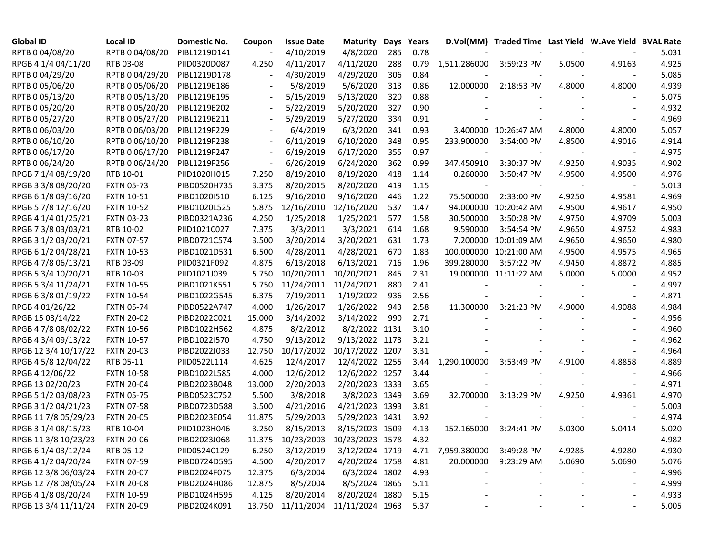| <b>Global ID</b>     | <b>Local ID</b>   | Domestic No. | Coupon | <b>Issue Date</b>                      | <b>Maturity</b>            | Days Years |      |                   | D.Vol(MM) Traded Time Last Yield W.Ave Yield BVAL Rate |        |                          |       |
|----------------------|-------------------|--------------|--------|----------------------------------------|----------------------------|------------|------|-------------------|--------------------------------------------------------|--------|--------------------------|-------|
| RPTB 0 04/08/20      | RPTB 0 04/08/20   | PIBL1219D141 |        | 4/10/2019                              | 4/8/2020                   | 285        | 0.78 |                   |                                                        |        |                          | 5.031 |
| RPGB 4 1/4 04/11/20  | RTB 03-08         | PIID0320D087 | 4.250  | 4/11/2017                              | 4/11/2020                  | 288        | 0.79 | 1,511.286000      | 3:59:23 PM                                             | 5.0500 | 4.9163                   | 4.925 |
| RPTB 0 04/29/20      | RPTB 0 04/29/20   | PIBL1219D178 |        | 4/30/2019                              | 4/29/2020                  | 306        | 0.84 |                   |                                                        |        |                          | 5.085 |
| RPTB 0 05/06/20      | RPTB 0 05/06/20   | PIBL1219E186 |        | 5/8/2019                               | 5/6/2020                   | 313        | 0.86 | 12.000000         | 2:18:53 PM                                             | 4.8000 | 4.8000                   | 4.939 |
| RPTB 0 05/13/20      | RPTB 0 05/13/20   | PIBL1219E195 |        | 5/15/2019                              | 5/13/2020                  | 320        | 0.88 |                   |                                                        |        |                          | 5.075 |
| RPTB 0 05/20/20      | RPTB 0 05/20/20   | PIBL1219E202 |        | 5/22/2019                              | 5/20/2020                  | 327        | 0.90 |                   |                                                        |        |                          | 4.932 |
| RPTB 0 05/27/20      | RPTB 0 05/27/20   | PIBL1219E211 |        | 5/29/2019                              | 5/27/2020                  | 334        | 0.91 |                   |                                                        |        |                          | 4.969 |
| RPTB 0 06/03/20      | RPTB 0 06/03/20   | PIBL1219F229 |        | 6/4/2019                               | 6/3/2020                   | 341        | 0.93 |                   | 3.400000 10:26:47 AM                                   | 4.8000 | 4.8000                   | 5.057 |
| RPTB 0 06/10/20      | RPTB 0 06/10/20   | PIBL1219F238 |        | 6/11/2019                              | 6/10/2020                  | 348        | 0.95 | 233.900000        | 3:54:00 PM                                             | 4.8500 | 4.9016                   | 4.914 |
| RPTB 0 06/17/20      | RPTB 0 06/17/20   | PIBL1219F247 |        | 6/19/2019                              | 6/17/2020                  | 355        | 0.97 |                   |                                                        |        |                          | 4.975 |
| RPTB 0 06/24/20      | RPTB 0 06/24/20   | PIBL1219F256 |        | 6/26/2019                              | 6/24/2020                  | 362        | 0.99 | 347.450910        | 3:30:37 PM                                             | 4.9250 | 4.9035                   | 4.902 |
| RPGB 7 1/4 08/19/20  | RTB 10-01         | PIID1020H015 | 7.250  | 8/19/2010                              | 8/19/2020                  | 418        | 1.14 | 0.260000          | 3:50:47 PM                                             | 4.9500 | 4.9500                   | 4.976 |
| RPGB 3 3/8 08/20/20  | <b>FXTN 05-73</b> | PIBD0520H735 | 3.375  | 8/20/2015                              | 8/20/2020                  | 419        | 1.15 |                   |                                                        |        |                          | 5.013 |
| RPGB 6 1/8 09/16/20  | <b>FXTN 10-51</b> | PIBD1020I510 | 6.125  | 9/16/2010                              | 9/16/2020                  | 446        | 1.22 | 75.500000         | 2:33:00 PM                                             | 4.9250 | 4.9581                   | 4.969 |
| RPGB 5 7/8 12/16/20  | <b>FXTN 10-52</b> | PIBD1020L525 | 5.875  | 12/16/2010                             | 12/16/2020                 | 537        | 1.47 | 94.000000         | 10:20:42 AM                                            | 4.9500 | 4.9617                   | 4.950 |
| RPGB 4 1/4 01/25/21  | <b>FXTN 03-23</b> | PIBD0321A236 | 4.250  | 1/25/2018                              | 1/25/2021                  | 577        | 1.58 | 30.500000         | 3:50:28 PM                                             | 4.9750 | 4.9709                   | 5.003 |
| RPGB 7 3/8 03/03/21  | RTB 10-02         | PIID1021C027 | 7.375  | 3/3/2011                               | 3/3/2021                   | 614        | 1.68 | 9.590000          | 3:54:54 PM                                             | 4.9650 | 4.9752                   | 4.983 |
| RPGB 3 1/2 03/20/21  | <b>FXTN 07-57</b> | PIBD0721C574 | 3.500  | 3/20/2014                              | 3/20/2021                  | 631        | 1.73 |                   | 7.200000 10:01:09 AM                                   | 4.9650 | 4.9650                   | 4.980 |
| RPGB 6 1/2 04/28/21  | <b>FXTN 10-53</b> | PIBD1021D531 | 6.500  | 4/28/2011                              | 4/28/2021                  | 670        | 1.83 |                   | 100.000000 10:21:00 AM                                 | 4.9500 | 4.9575                   | 4.965 |
| RPGB 4 7/8 06/13/21  | RTB 03-09         | PIID0321F092 | 4.875  | 6/13/2018                              | 6/13/2021                  | 716        | 1.96 | 399.280000        | 3:57:22 PM                                             | 4.9450 | 4.8872                   | 4.885 |
| RPGB 5 3/4 10/20/21  | RTB 10-03         | PIID1021J039 | 5.750  | 10/20/2011                             | 10/20/2021                 | 845        | 2.31 |                   | 19.000000 11:11:22 AM                                  | 5.0000 | 5.0000                   | 4.952 |
| RPGB 5 3/4 11/24/21  | <b>FXTN 10-55</b> | PIBD1021K551 | 5.750  | 11/24/2011                             | 11/24/2021                 | 880        | 2.41 |                   |                                                        |        |                          | 4.997 |
| RPGB 63/8 01/19/22   | <b>FXTN 10-54</b> | PIBD1022G545 | 6.375  | 7/19/2011                              | 1/19/2022                  | 936        | 2.56 |                   |                                                        |        |                          | 4.871 |
| RPGB 4 01/26/22      | <b>FXTN 05-74</b> | PIBD0522A747 | 4.000  | 1/26/2017                              | 1/26/2022                  | 943        | 2.58 | 11.300000         | 3:21:23 PM                                             | 4.9000 | 4.9088                   | 4.984 |
| RPGB 15 03/14/22     | <b>FXTN 20-02</b> | PIBD2022C021 | 15.000 | 3/14/2002                              | 3/14/2022                  | 990        | 2.71 |                   |                                                        |        |                          | 4.956 |
| RPGB 4 7/8 08/02/22  | <b>FXTN 10-56</b> | PIBD1022H562 | 4.875  | 8/2/2012                               | 8/2/2022 1131              |            | 3.10 |                   |                                                        |        |                          | 4.960 |
| RPGB 4 3/4 09/13/22  | <b>FXTN 10-57</b> | PIBD1022I570 | 4.750  | 9/13/2012                              | 9/13/2022 1173             |            | 3.21 |                   |                                                        |        |                          | 4.962 |
| RPGB 12 3/4 10/17/22 | <b>FXTN 20-03</b> | PIBD2022J033 | 12.750 | 10/17/2002                             | 10/17/2022 1207            |            | 3.31 |                   |                                                        |        |                          | 4.964 |
| RPGB 4 5/8 12/04/22  | RTB 05-11         | PIID0522L114 | 4.625  | 12/4/2017                              | 12/4/2022 1255             |            | 3.44 | 1,290.100000      | 3:53:49 PM                                             | 4.9100 | 4.8858                   | 4.889 |
| RPGB 4 12/06/22      | <b>FXTN 10-58</b> | PIBD1022L585 | 4.000  | 12/6/2012                              | 12/6/2022 1257             |            | 3.44 |                   |                                                        |        |                          | 4.966 |
| RPGB 13 02/20/23     | <b>FXTN 20-04</b> | PIBD2023B048 | 13.000 | 2/20/2003                              | 2/20/2023 1333             |            | 3.65 |                   |                                                        |        |                          | 4.971 |
| RPGB 5 1/2 03/08/23  | <b>FXTN 05-75</b> | PIBD0523C752 | 5.500  | 3/8/2018                               | 3/8/2023 1349              |            | 3.69 | 32.700000         | 3:13:29 PM                                             | 4.9250 | 4.9361                   | 4.970 |
| RPGB 3 1/2 04/21/23  | <b>FXTN 07-58</b> | PIBD0723D588 | 3.500  | 4/21/2016                              | 4/21/2023 1393             |            | 3.81 |                   |                                                        |        |                          | 5.003 |
| RPGB 11 7/8 05/29/23 | <b>FXTN 20-05</b> | PIBD2023E054 | 11.875 | 5/29/2003                              | 5/29/2023 1431             |            | 3.92 |                   |                                                        |        |                          | 4.974 |
| RPGB 3 1/4 08/15/23  | RTB 10-04         | PIID1023H046 | 3.250  | 8/15/2013                              | 8/15/2023 1509             |            | 4.13 | 152.165000        | 3:24:41 PM                                             | 5.0300 | 5.0414                   | 5.020 |
| RPGB 11 3/8 10/23/23 | <b>FXTN 20-06</b> | PIBD2023J068 | 11.375 |                                        | 10/23/2003 10/23/2023 1578 |            | 4.32 |                   |                                                        |        |                          | 4.982 |
| RPGB 6 1/4 03/12/24  | RTB 05-12         | PIID0524C129 | 6.250  | 3/12/2019                              | 3/12/2024 1719             |            |      | 4.71 7,959.380000 | 3:49:28 PM                                             | 4.9285 | 4.9280                   | 4.930 |
| RPGB 4 1/2 04/20/24  | <b>FXTN 07-59</b> | PIBD0724D595 | 4.500  | 4/20/2017                              | 4/20/2024 1758             |            | 4.81 | 20.000000         | 9:23:29 AM                                             | 5.0690 | 5.0690                   | 5.076 |
| RPGB 12 3/8 06/03/24 | <b>FXTN 20-07</b> | PIBD2024F075 | 12.375 | 6/3/2004                               | 6/3/2024 1802              |            | 4.93 |                   |                                                        |        | $\overline{\phantom{a}}$ | 4.996 |
| RPGB 12 7/8 08/05/24 | <b>FXTN 20-08</b> | PIBD2024H086 | 12.875 | 8/5/2004                               | 8/5/2024 1865              |            | 5.11 |                   |                                                        |        | $\overline{\phantom{a}}$ | 4.999 |
| RPGB 4 1/8 08/20/24  | <b>FXTN 10-59</b> | PIBD1024H595 | 4.125  | 8/20/2014                              | 8/20/2024 1880             |            | 5.15 |                   |                                                        |        |                          | 4.933 |
| RPGB 13 3/4 11/11/24 | <b>FXTN 20-09</b> | PIBD2024K091 |        | 13.750 11/11/2004 11/11/2024 1963 5.37 |                            |            |      |                   |                                                        |        |                          | 5.005 |